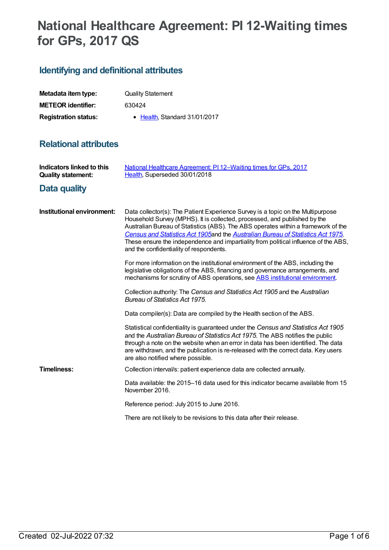# **National Healthcare Agreement: PI 12-Waiting times for GPs, 2017 QS**

## **Identifying and definitional attributes**

| Metadata item type:         | <b>Quality Statement</b>     |
|-----------------------------|------------------------------|
| <b>METEOR</b> identifier:   | 630424                       |
| <b>Registration status:</b> | • Health Standard 31/01/2017 |

### **Relational attributes**

| <b>Indicators linked to this</b><br><b>Quality statement:</b> | National Healthcare Agreement: PI 12-Waiting times for GPs, 2017<br>Health, Superseded 30/01/2018                                                                                                                                                                                                                                                                                                                                                                       |
|---------------------------------------------------------------|-------------------------------------------------------------------------------------------------------------------------------------------------------------------------------------------------------------------------------------------------------------------------------------------------------------------------------------------------------------------------------------------------------------------------------------------------------------------------|
| Data quality                                                  |                                                                                                                                                                                                                                                                                                                                                                                                                                                                         |
| Institutional environment:                                    | Data collector(s): The Patient Experience Survey is a topic on the Multipurpose<br>Household Survey (MPHS). It is collected, processed, and published by the<br>Australian Bureau of Statistics (ABS). The ABS operates within a framework of the<br>Census and Statistics Act 1905 and the Australian Bureau of Statistics Act 1975.<br>These ensure the independence and impartiality from political influence of the ABS,<br>and the confidentiality of respondents. |
|                                                               | For more information on the institutional environment of the ABS, including the<br>legislative obligations of the ABS, financing and governance arrangements, and<br>mechanisms for scrutiny of ABS operations, see ABS institutional environment.                                                                                                                                                                                                                      |
|                                                               | Collection authority: The Census and Statistics Act 1905 and the Australian<br><b>Bureau of Statistics Act 1975.</b>                                                                                                                                                                                                                                                                                                                                                    |
|                                                               | Data compiler(s): Data are compiled by the Health section of the ABS.                                                                                                                                                                                                                                                                                                                                                                                                   |
|                                                               | Statistical confidentiality is guaranteed under the Census and Statistics Act 1905<br>and the Australian Bureau of Statistics Act 1975. The ABS notifies the public<br>through a note on the website when an error in data has been identified. The data<br>are withdrawn, and the publication is re-released with the correct data. Key users<br>are also notified where possible.                                                                                     |
| <b>Timeliness:</b>                                            | Collection interval/s: patient experience data are collected annually.                                                                                                                                                                                                                                                                                                                                                                                                  |
|                                                               | Data available: the 2015–16 data used for this indicator became available from 15<br>November 2016.                                                                                                                                                                                                                                                                                                                                                                     |
|                                                               | Reference period: July 2015 to June 2016.                                                                                                                                                                                                                                                                                                                                                                                                                               |
|                                                               | There are not likely to be revisions to this data after their release.                                                                                                                                                                                                                                                                                                                                                                                                  |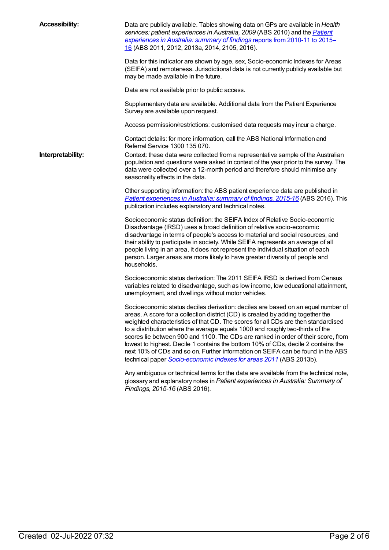| <b>Accessibility:</b> | Data are publicly available. Tables showing data on GPs are available in Health<br>services: patient experiences in Australia, 2009 (ABS 2010) and the <b>Patient</b><br>experiences in Australia: summary of findings reports from 2010-11 to 2015-<br>16 (ABS 2011, 2012, 2013a, 2014, 2105, 2016).                                                                                                                                                                                                                                                                                                                                                                        |
|-----------------------|------------------------------------------------------------------------------------------------------------------------------------------------------------------------------------------------------------------------------------------------------------------------------------------------------------------------------------------------------------------------------------------------------------------------------------------------------------------------------------------------------------------------------------------------------------------------------------------------------------------------------------------------------------------------------|
|                       | Data for this indicator are shown by age, sex, Socio-economic Indexes for Areas<br>(SEIFA) and remoteness. Jurisdictional data is not currently publicly available but<br>may be made available in the future.                                                                                                                                                                                                                                                                                                                                                                                                                                                               |
|                       | Data are not available prior to public access.                                                                                                                                                                                                                                                                                                                                                                                                                                                                                                                                                                                                                               |
|                       | Supplementary data are available. Additional data from the Patient Experience<br>Survey are available upon request.                                                                                                                                                                                                                                                                                                                                                                                                                                                                                                                                                          |
|                       | Access permission/restrictions: customised data requests may incur a charge.                                                                                                                                                                                                                                                                                                                                                                                                                                                                                                                                                                                                 |
|                       | Contact details: for more information, call the ABS National Information and<br>Referral Service 1300 135 070.                                                                                                                                                                                                                                                                                                                                                                                                                                                                                                                                                               |
| Interpretability:     | Context: these data were collected from a representative sample of the Australian<br>population and questions were asked in context of the year prior to the survey. The<br>data were collected over a 12-month period and therefore should minimise any<br>seasonality effects in the data.                                                                                                                                                                                                                                                                                                                                                                                 |
|                       | Other supporting information: the ABS patient experience data are published in<br>Patient experiences in Australia: summary of findings, 2015-16 (ABS 2016). This<br>publication includes explanatory and technical notes.                                                                                                                                                                                                                                                                                                                                                                                                                                                   |
|                       | Socioeconomic status definition: the SEIFA Index of Relative Socio-economic<br>Disadvantage (IRSD) uses a broad definition of relative socio-economic<br>disadvantage in terms of people's access to material and social resources, and<br>their ability to participate in society. While SEIFA represents an average of all<br>people living in an area, it does not represent the individual situation of each<br>person. Larger areas are more likely to have greater diversity of people and<br>households.                                                                                                                                                              |
|                       | Socioeconomic status derivation: The 2011 SEIFA IRSD is derived from Census<br>variables related to disadvantage, such as low income, low educational attainment,<br>unemployment, and dwellings without motor vehicles.                                                                                                                                                                                                                                                                                                                                                                                                                                                     |
|                       | Socioeconomic status deciles derivation: deciles are based on an equal number of<br>areas. A score for a collection district (CD) is created by adding together the<br>weighted characteristics of that CD. The scores for all CDs are then standardised<br>to a distribution where the average equals 1000 and roughly two-thirds of the<br>scores lie between 900 and 1100. The CDs are ranked in order of their score, from<br>lowest to highest. Decile 1 contains the bottom 10% of CDs, decile 2 contains the<br>next 10% of CDs and so on. Further information on SEIFA can be found in the ABS<br>technical paper Socio-economic indexes for areas 2011 (ABS 2013b). |
|                       | Any ambiguous or technical terms for the data are available from the technical note,<br>glossary and explanatory notes in Patient experiences in Australia: Summary of<br>Findings, 2015-16 (ABS 2016).                                                                                                                                                                                                                                                                                                                                                                                                                                                                      |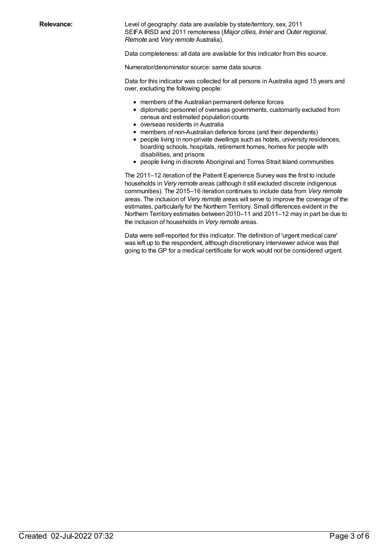**Relevance:** Level of geography: data are available by state/territory, sex, 2011 SEIFA IRSD and 2011 remoteness (*Major cities, Inner* and *Outer regional, Remote* and *Very remote* Australia).

Data completeness: all data are available for this indicator from this source.

Numerator/denominator source: same data source.

Data for this indicator was collected for all persons in Australia aged 15 years and over, excluding the following people:

- members of the Australian permanent defence forces
- diplomatic personnel of overseas governments, customarily excluded from census and estimated population counts
- overseas residents in Australia
- members of non-Australian defence forces (and their dependents)
- people living in non-private dwellings such as hotels, university residences, boarding schools, hospitals, retirement homes, homes for people with disabilities, and prisons
- people living in discrete Aboriginal and Torres Strait Island communities

The 2011–12 iteration of the Patient Experience Survey was the first to include households in *Very remote* areas (although it still excluded discrete indigenous communities). The 2015–16 iteration continues to include data from *Very remote* areas. The inclusion of *Very remote* areas will serve to improve the coverage of the estimates, particularly for the Northern Territory. Small differences evident in the Northern Territory estimates between 2010–11 and 2011–12 may in part be due to the inclusion of households in *Very remote* areas.

Data were self-reported for this indicator. The definition of 'urgent medical care' was left up to the respondent, although discretionary interviewer advice was that going to the GP for a medical certificate for work would not be considered urgent.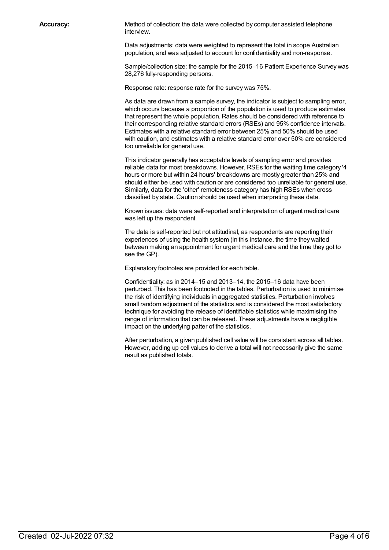**Accuracy:** Method of collection: the data were collected by computer assisted telephone interview.

> Data adjustments: data were weighted to represent the total in scope Australian population, and was adjusted to account for confidentiality and non-response.

Sample/collection size: the sample for the 2015–16 Patient Experience Survey was 28,276 fully-responding persons.

Response rate: response rate for the survey was 75%.

As data are drawn from a sample survey, the indicator is subject to sampling error, which occurs because a proportion of the population is used to produce estimates that represent the whole population. Rates should be considered with reference to their corresponding relative standard errors (RSEs) and 95% confidence intervals. Estimates with a relative standard error between 25% and 50% should be used with caution, and estimates with a relative standard error over 50% are considered too unreliable for general use.

This indicator generally has acceptable levels of sampling error and provides reliable data for most breakdowns. However, RSEs for the waiting time category '4 hours or more but within 24 hours' breakdowns are mostly greater than 25% and should either be used with caution or are considered too unreliable for general use. Similarly, data for the 'other' remoteness category has high RSEs when cross classified by state. Caution should be used when interpreting these data.

Known issues: data were self-reported and interpretation of urgent medical care was left up the respondent.

The data is self-reported but not attitudinal, as respondents are reporting their experiences of using the health system (in this instance, the time they waited between making an appointment for urgent medical care and the time they got to see the GP).

Explanatory footnotes are provided for each table.

Confidentiality: as in 2014–15 and 2013–14, the 2015–16 data have been perturbed. This has been footnoted in the tables. Perturbation is used to minimise the risk of identifying individuals in aggregated statistics. Perturbation involves small random adjustment of the statistics and is considered the most satisfactory technique for avoiding the release of identifiable statistics while maximising the range of information that can be released. These adjustments have a negligible impact on the underlying patter of the statistics.

After perturbation, a given published cell value will be consistent across all tables. However, adding up cell values to derive a total will not necessarily give the same result as published totals.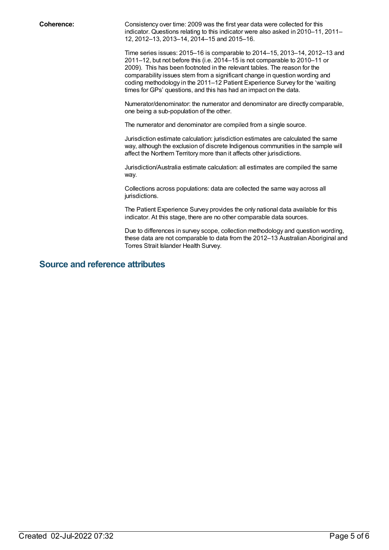**Coherence:** Consistency over time: 2009 was the first year data were collected for this indicator. Questions relating to this indicator were also asked in 2010–11, 2011– 12, 2012–13, 2013–14, 2014–15 and 2015–16.

> Time series issues: 2015–16 is comparable to 2014–15, 2013–14, 2012–13 and 2011–12, but not before this (i.e. 2014–15 is not comparable to 2010–11 or 2009). This has been footnoted in the relevant tables. The reason for the comparability issues stem from a significant change in question wording and coding methodology in the 2011–12 Patient Experience Survey for the 'waiting times for GPs' questions, and this has had an impact on the data.

> Numerator/denominator: the numerator and denominator are directly comparable, one being a sub-population of the other.

The numerator and denominator are compiled from a single source.

Jurisdiction estimate calculation: jurisdiction estimates are calculated the same way, although the exclusion of discrete Indigenous communities in the sample will affect the Northern Territory more than it affects other jurisdictions.

Jurisdiction/Australia estimate calculation: all estimates are compiled the same way.

Collections across populations: data are collected the same way across all jurisdictions.

The Patient Experience Survey provides the only national data available for this indicator. At this stage, there are no other comparable data sources.

Due to differences in survey scope, collection methodology and question wording, these data are not comparable to data from the 2012–13 Australian Aboriginal and Torres Strait Islander Health Survey.

#### **Source and reference attributes**